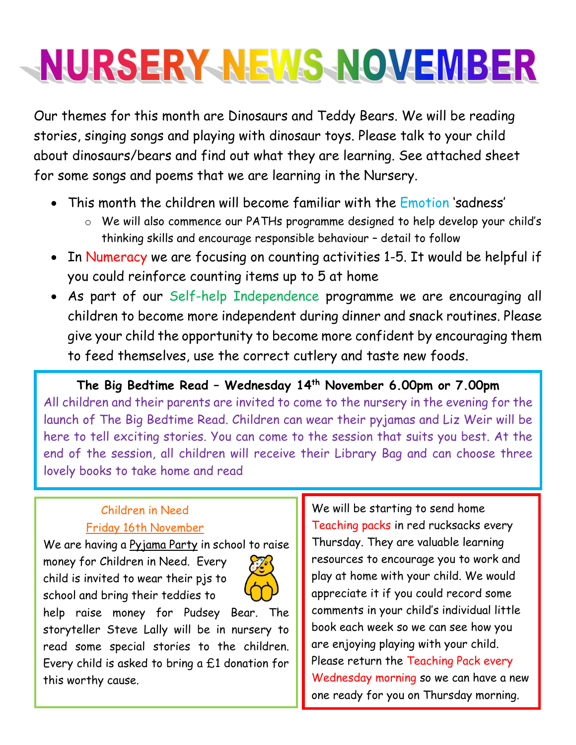# NURSERY NEWS NOVEMBER

Our themes for this month are Dinosaurs and Teddy Bears. We will be reading stories, singing songs and playing with dinosaur toys. Please talk to your child about dinosaurs/bears and find out what they are learning. See attached sheet for some songs and poems that we are learning in the Nursery.

- This month the children will become familiar with the Emotion 'sadness'
	- o We will also commence our PATHs programme designed to help develop your child's thinking skills and encourage responsible behaviour – detail to follow
- In Numeracy we are focusing on counting activities 1-5. It would be helpful if you could reinforce counting items up to 5 at home
- As part of our Self-help Independence programme we are encouraging all children to become more independent during dinner and snack routines. Please give your child the opportunity to become more confident by encouraging them to feed themselves, use the correct cutlery and taste new foods.

**The Big Bedtime Read – Wednesday 14 th November 6.00pm or 7.00pm** All children and their parents are invited to come to the nursery in the evening for the launch of The Big Bedtime Read. Children can wear their pyjamas and Liz Weir will be here to tell exciting stories. You can come to the session that suits you best. At the end of the session, all children will receive their Library Bag and can choose three lovely books to take home and read

#### Children in Need Friday 16th November

We are having a Pyjama Party in school to raise

money for Children in Need. Every child is invited to wear their pjs to school and bring their teddies to



help raise money for Pudsey Bear. The storyteller Steve Lally will be in nursery to read some special stories to the children. Every child is asked to bring a £1 donation for this worthy cause.

We will be starting to send home Teaching packs in red rucksacks every Thursday. They are valuable learning resources to encourage you to work and play at home with your child. We would appreciate it if you could record some comments in your child's individual little book each week so we can see how you are enjoying playing with your child. Please return the Teaching Pack every Wednesday morning so we can have a new one ready for you on Thursday morning.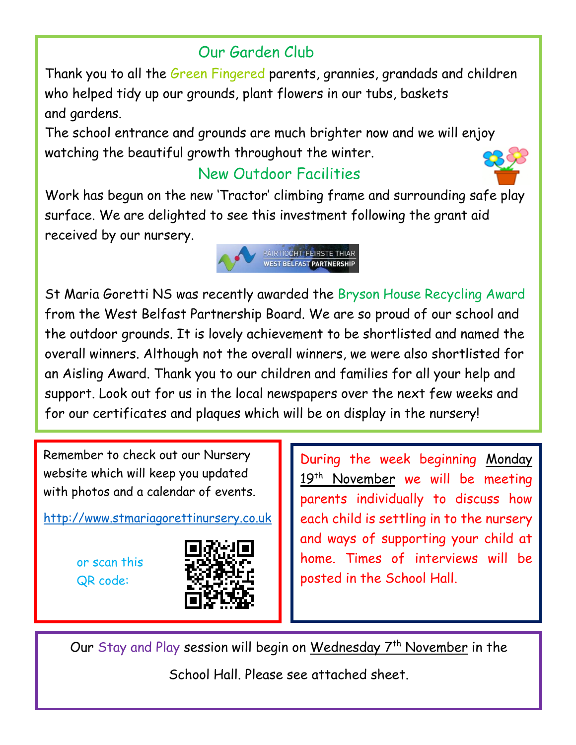### Our Garden Club

Thank you to all the Green Fingered parents, grannies, grandads and children who helped tidy up our grounds, plant flowers in our tubs, baskets and gardens.

The school entrance and grounds are much brighter now and we will enjoy watching the beautiful growth throughout the winter.

### New Outdoor Facilities



Work has begun on the new 'Tractor' climbing frame and surrounding safe play surface. We are delighted to see this investment following the grant aid received by our nursery.



St Maria Goretti NS was recently awarded the Bryson House Recycling Award from the West Belfast Partnership Board. We are so proud of our school and the outdoor grounds. It is lovely achievement to be shortlisted and named the overall winners. Although not the overall winners, we were also shortlisted for an Aisling Award. Thank you to our children and families for all your help and support. Look out for us in the local newspapers over the next few weeks and for our certificates and plaques which will be on display in the nursery!

Remember to check out our Nursery website which will keep you updated with photos and a calendar of events.

[http://www.stmariagorettinursery.co.uk](http://www.stmariagorettinursery.co.uk/)

or scan this QR code:



During the week beginning Monday 19<sup>th</sup> November we will be meeting parents individually to discuss how each child is settling in to the nursery and ways of supporting your child at home. Times of interviews will be posted in the School Hall.

Our Stay and Play session will begin on Wednesday 7<sup>th</sup> November in the

School Hall. Please see attached sheet.